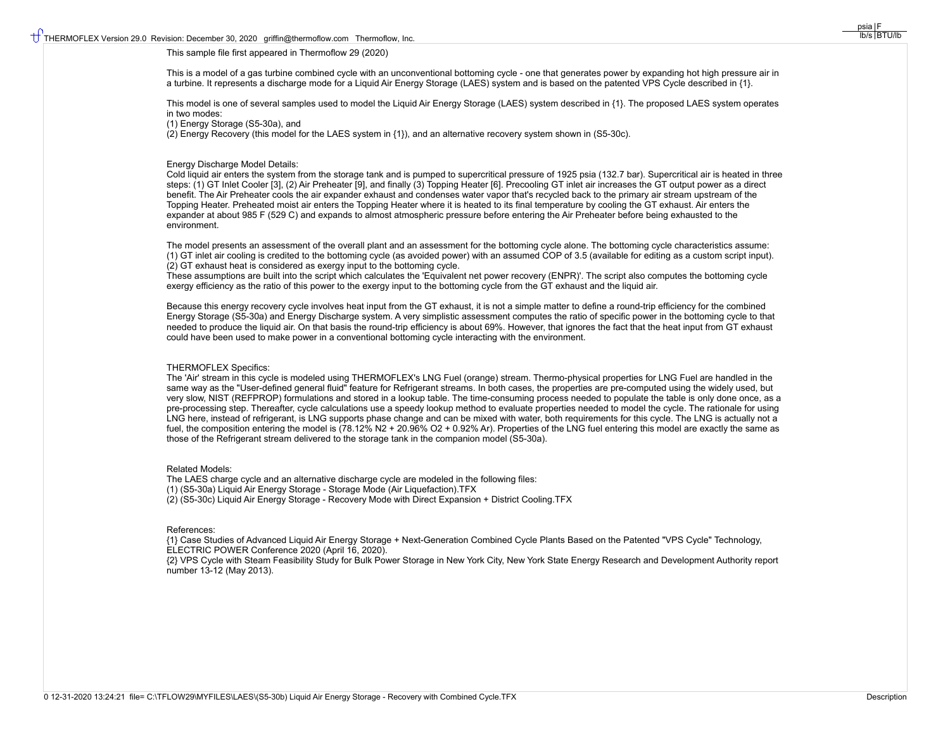#### This sample file first appeared in Thermoflow 29 (2020)

This is a model of a gas turbine combined cycle with an unconventional bottoming cycle - one that generates power by expanding hot high pressure air in a turbine. It represents a discharge mode for a Liquid Air Energy Storage (LAES) system and is based on the patented VPS Cycle described in {1}.

This model is one of several samples used to model the Liquid Air Energy Storage (LAES) system described in {1}. The proposed LAES system operates in two modes:

(1) Energy Storage (S5-30a), and

(2) Energy Recovery (this model for the LAES system in {1}), and an alternative recovery system shown in (S5-30c).

#### Energy Discharge Model Details:

Cold liquid air enters the system from the storage tank and is pumped to supercritical pressure of 1925 psia (132.7 bar). Supercritical air is heated in three steps: (1) GT Inlet Cooler [3], (2) Air Preheater [9], and finally (3) Topping Heater [6]. Precooling GT inlet air increases the GT output power as a direct benefit. The Air Preheater cools the air expander exhaust and condenses water vapor that's recycled back to the primary air stream upstream of the Topping Heater. Preheated moist air enters the Topping Heater where it is heated to its final temperature by cooling the GT exhaust. Air enters the expander at about 985 F (529 C) and expands to almost atmospheric pressure before entering the Air Preheater before being exhausted to the environment.

The model presents an assessment of the overall plant and an assessment for the bottoming cycle alone. The bottoming cycle characteristics assume: (1) GT inlet air cooling is credited to the bottoming cycle (as avoided power) with an assumed COP of 3.5 (available for editing as a custom script input). (2) GT exhaust heat is considered as exergy input to the bottoming cycle.

These assumptions are built into the script which calculates the 'Equivalent net power recovery (ENPR)'. The script also computes the bottoming cycle exergy efficiency as the ratio of this power to the exergy input to the bottoming cycle from the GT exhaust and the liquid air.

Because this energy recovery cycle involves heat input from the GT exhaust, it is not a simple matter to define a round-trip efficiency for the combined Energy Storage (S5-30a) and Energy Discharge system. A very simplistic assessment computes the ratio of specific power in the bottoming cycle to that needed to produce the liquid air. On that basis the round-trip efficiency is about 69%. However, that ignores the fact that the heat input from GT exhaust could have been used to make power in a conventional bottoming cycle interacting with the environment.

### THERMOFLEX Specifics:

The 'Air' stream in this cycle is modeled using THERMOFLEX's LNG Fuel (orange) stream. Thermo-physical properties for LNG Fuel are handled in the same way as the "User-defined general fluid" feature for Refrigerant streams. In both cases, the properties are pre-computed using the widely used, but very slow, NIST (REFPROP) formulations and stored in a lookup table. The time-consuming process needed to populate the table is only done once, as a pre-processing step. Thereafter, cycle calculations use a speedy lookup method to evaluate properties needed to model the cycle. The rationale for using LNG here, instead of refrigerant, is LNG supports phase change and can be mixed with water, both requirements for this cycle. The LNG is actually not a fuel, the composition entering the model is (78.12% N2 + 20.96% O2 + 0.92% Ar). Properties of the LNG fuel entering this model are exactly the same as those of the Refrigerant stream delivered to the storage tank in the companion model (S5-30a).

#### Related Models:

The LAES charge cycle and an alternative discharge cycle are modeled in the following files:

(1) (S5-30a) Liquid Air Energy Storage - Storage Mode (Air Liquefaction).TFX

(2) (S5-30c) Liquid Air Energy Storage - Recovery Mode with Direct Expansion + District Cooling.TFX

#### References:

{1} Case Studies of Advanced Liquid Air Energy Storage + Next-Generation Combined Cycle Plants Based on the Patented "VPS Cycle" Technology, ELECTRIC POWER Conference 2020 (April 16, 2020).

{2} VPS Cycle with Steam Feasibility Study for Bulk Power Storage in New York City, New York State Energy Research and Development Authority report number 13-12 (May 2013).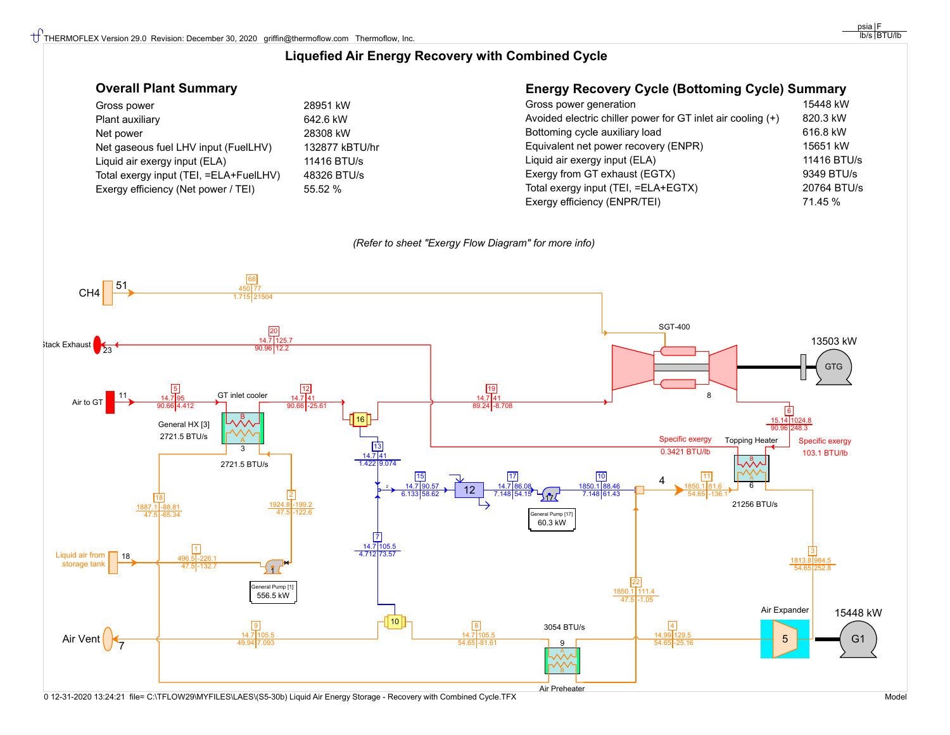## **Liquefied Air Energy Recovery with Combined Cycle**

| Gross power                            | 28951 kW       |
|----------------------------------------|----------------|
| Plant auxiliary                        | 642.6 kW       |
| Net power                              | 28308 kW       |
| Net gaseous fuel LHV input (FuelLHV)   | 132877 kBTU/hr |
| Liquid air exergy input (ELA)          | 11416 BTU/s    |
| Total exergy input (TEI, =ELA+FuelLHV) | 48326 BTU/s    |
| Exergy efficiency (Net power / TEI)    | 55.52 %        |
|                                        |                |

# **Overall Plant Summary Energy Recovery Cycle (Bottoming Cycle) Summary**

| Gross power generation                                        | 15448 kW    |
|---------------------------------------------------------------|-------------|
| Avoided electric chiller power for GT inlet air cooling $(+)$ | 820.3 kW    |
| Bottoming cycle auxiliary load                                | 616.8 kW    |
| Equivalent net power recovery (ENPR)                          | 15651 kW    |
| Liquid air exergy input (ELA)                                 | 11416 BTU/s |
| Exergy from GT exhaust (EGTX)                                 | 9349 BTU/s  |
| Total exergy input (TEI, =ELA+EGTX)                           | 20764 BTU/s |
| Exergy efficiency (ENPR/TEI)                                  | 71.45 %     |
|                                                               |             |

## *(Refer to sheet "Exergy Flow Diagram" for more info)*



0 12-31-2020 13:24:21 file= C:\TFLOW29\MYFILES\LAES\(S5-30b) Liquid Air Energy Storage - Recovery with Combined Cycle.TFX Model